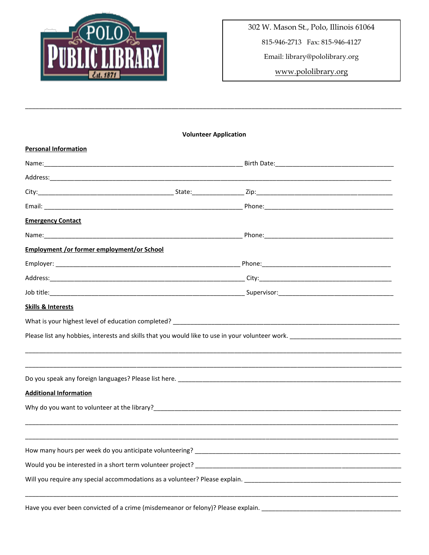

302 W. Mason St., Polo, Illinois 61064

815-946-2713 Fax: 815-946-4127

Email: library@pololibrary.org

www.pololibrary.org

| <b>Volunteer Application</b>                                                                             |  |  |  |  |
|----------------------------------------------------------------------------------------------------------|--|--|--|--|
| <b>Personal Information</b>                                                                              |  |  |  |  |
|                                                                                                          |  |  |  |  |
|                                                                                                          |  |  |  |  |
|                                                                                                          |  |  |  |  |
|                                                                                                          |  |  |  |  |
| <b>Emergency Contact</b>                                                                                 |  |  |  |  |
|                                                                                                          |  |  |  |  |
| <b>Employment /or former employment/or School</b>                                                        |  |  |  |  |
|                                                                                                          |  |  |  |  |
|                                                                                                          |  |  |  |  |
|                                                                                                          |  |  |  |  |
| <b>Skills &amp; Interests</b>                                                                            |  |  |  |  |
| What is your highest level of education completed?<br>What is your highest level of education completed? |  |  |  |  |
| Please list any hobbies, interests and skills that you would like to use in your volunteer work.         |  |  |  |  |
|                                                                                                          |  |  |  |  |
|                                                                                                          |  |  |  |  |
|                                                                                                          |  |  |  |  |
| <b>Additional Information</b>                                                                            |  |  |  |  |
|                                                                                                          |  |  |  |  |
|                                                                                                          |  |  |  |  |
|                                                                                                          |  |  |  |  |
|                                                                                                          |  |  |  |  |
|                                                                                                          |  |  |  |  |
| Will you require any special accommodations as a volunteer? Please explain.                              |  |  |  |  |
|                                                                                                          |  |  |  |  |
|                                                                                                          |  |  |  |  |